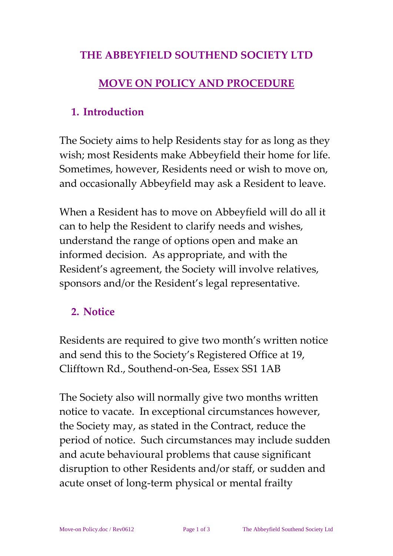#### **THE ABBEYFIELD SOUTHEND SOCIETY LTD**

#### **MOVE ON POLICY AND PROCEDURE**

#### **1. Introduction**

The Society aims to help Residents stay for as long as they wish; most Residents make Abbeyfield their home for life. Sometimes, however, Residents need or wish to move on, and occasionally Abbeyfield may ask a Resident to leave.

When a Resident has to move on Abbeyfield will do all it can to help the Resident to clarify needs and wishes, understand the range of options open and make an informed decision. As appropriate, and with the Resident's agreement, the Society will involve relatives, sponsors and/or the Resident's legal representative.

## **2. Notice**

Residents are required to give two month's written notice and send this to the Society's Registered Office at 19, Clifftown Rd., Southend-on-Sea, Essex SS1 1AB

The Society also will normally give two months written notice to vacate. In exceptional circumstances however, the Society may, as stated in the Contract, reduce the period of notice. Such circumstances may include sudden and acute behavioural problems that cause significant disruption to other Residents and/or staff, or sudden and acute onset of long-term physical or mental frailty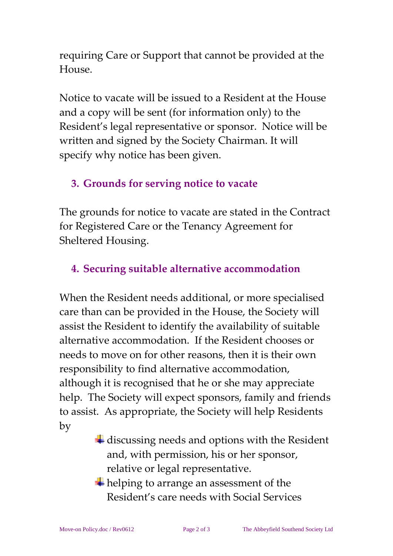requiring Care or Support that cannot be provided at the House.

Notice to vacate will be issued to a Resident at the House and a copy will be sent (for information only) to the Resident's legal representative or sponsor. Notice will be written and signed by the Society Chairman. It will specify why notice has been given.

#### **3. Grounds for serving notice to vacate**

The grounds for notice to vacate are stated in the Contract for Registered Care or the Tenancy Agreement for Sheltered Housing.

#### **4. Securing suitable alternative accommodation**

When the Resident needs additional, or more specialised care than can be provided in the House, the Society will assist the Resident to identify the availability of suitable alternative accommodation. If the Resident chooses or needs to move on for other reasons, then it is their own responsibility to find alternative accommodation, although it is recognised that he or she may appreciate help. The Society will expect sponsors, family and friends to assist. As appropriate, the Society will help Residents by

- $\ddot{\bullet}$  discussing needs and options with the Resident and, with permission, his or her sponsor, relative or legal representative.
- $\overline{\text{H}}$  helping to arrange an assessment of the Resident's care needs with Social Services